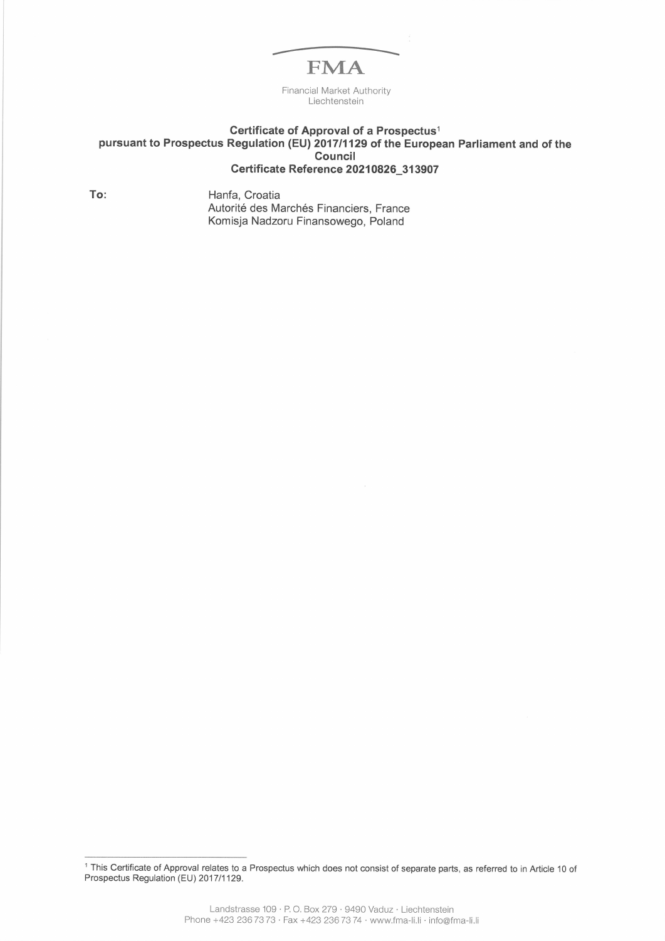## FMA

Financial Market Authority Liechtenstein

## Certificate of Approval of a Prospectus<sup>1</sup> pursuant to Prospectus Regulation (EU) 201711129 of the European Parliament and of the **Council** Certificate Reference 20210826 31 3907

To: Hanfa, Croatia

Autorité des Marchés Financiers, France Komisja Nadzoru Finansowego, Poland

<sup>1</sup>This Certificate of Approval relates to a Prospectus which does not consist of separate parts, as referred to in Article 10 of Prospectus Regulation (EU) 2017/1129.